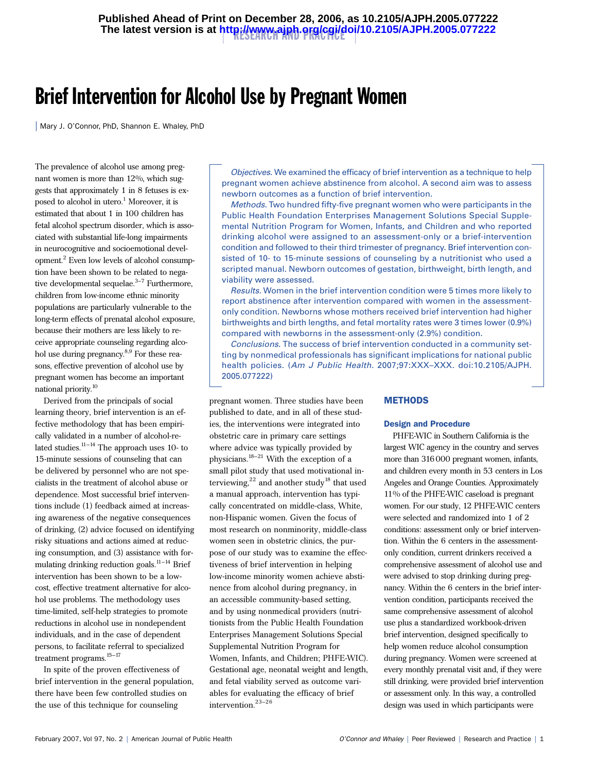# Brief Intervention for Alcohol Use by Pregnant Women

| Mary J. O'Connor, PhD, Shannon E. Whaley, PhD

The prevalence of alcohol use among pregnant women is more than 12%, which suggests that approximately 1 in 8 fetuses is exposed to alcohol in utero.<sup>1</sup> Moreover, it is estimated that about 1 in 100 children has fetal alcohol spectrum disorder, which is associated with substantial life-long impairments in neurocognitive and socioemotional development.2 Even low levels of alcohol consumption have been shown to be related to negative developmental sequelae. $3-7$  Furthermore, children from low-income ethnic minority populations are particularly vulnerable to the long-term effects of prenatal alcohol exposure, because their mothers are less likely to receive appropriate counseling regarding alcohol use during pregnancy.<sup>8,9</sup> For these reasons, effective prevention of alcohol use by pregnant women has become an important national priority.10

Derived from the principals of social learning theory, brief intervention is an effective methodology that has been empirically validated in a number of alcohol-related studies. $11-14$  The approach uses 10- to 15-minute sessions of counseling that can be delivered by personnel who are not specialists in the treatment of alcohol abuse or dependence. Most successful brief interventions include (1) feedback aimed at increasing awareness of the negative consequences of drinking, (2) advice focused on identifying risky situations and actions aimed at reducing consumption, and (3) assistance with formulating drinking reduction goals.<sup>11–14</sup> Brief intervention has been shown to be a lowcost, effective treatment alternative for alcohol use problems. The methodology uses time-limited, self-help strategies to promote reductions in alcohol use in nondependent individuals, and in the case of dependent persons, to facilitate referral to specialized treatment programs.  $^{\rm 15-17}$ 

In spite of the proven effectiveness of brief intervention in the general population, there have been few controlled studies on the use of this technique for counseling

*Objectives.* We examined the efficacy of brief intervention as a technique to help pregnant women achieve abstinence from alcohol. A second aim was to assess newborn outcomes as a function of brief intervention.

*Methods.* Two hundred fifty-five pregnant women who were participants in the Public Health Foundation Enterprises Management Solutions Special Supplemental Nutrition Program for Women, Infants, and Children and who reported drinking alcohol were assigned to an assessment-only or a brief-intervention condition and followed to their third trimester of pregnancy. Brief intervention consisted of 10- to 15-minute sessions of counseling by a nutritionist who used a scripted manual. Newborn outcomes of gestation, birthweight, birth length, and viability were assessed.

*Results.* Women in the brief intervention condition were 5 times more likely to report abstinence after intervention compared with women in the assessmentonly condition. Newborns whose mothers received brief intervention had higher birthweights and birth lengths, and fetal mortality rates were 3 times lower (0.9%) compared with newborns in the assessment-only (2.9%) condition.

*Conclusions.* The success of brief intervention conducted in a community setting by nonmedical professionals has significant implications for national public health policies. (*Am J Public Health.* 2007;97:XXX–XXX. doi:10.2105/AJPH. 2005.077222)

pregnant women. Three studies have been published to date, and in all of these studies, the interventions were integrated into obstetric care in primary care settings where advice was typically provided by physicians.18–21 With the exception of a small pilot study that used motivational interviewing, $22$  and another study<sup>18</sup> that used a manual approach, intervention has typically concentrated on middle-class, White, non-Hispanic women. Given the focus of most research on nonminority, middle-class women seen in obstetric clinics, the purpose of our study was to examine the effectiveness of brief intervention in helping low-income minority women achieve abstinence from alcohol during pregnancy, in an accessible community-based setting, and by using nonmedical providers (nutritionists from the Public Health Foundation Enterprises Management Solutions Special Supplemental Nutrition Program for Women, Infants, and Children; PHFE-WIC). Gestational age, neonatal weight and length, and fetal viability served as outcome variables for evaluating the efficacy of brief intervention.23–26

## **METHODS**

#### Design and Procedure

PHFE-WIC in Southern California is the largest WIC agency in the country and serves more than 316000 pregnant women, infants, and children every month in 53 centers in Los Angeles and Orange Counties. Approximately 11% of the PHFE-WIC caseload is pregnant women. For our study, 12 PHFE-WIC centers were selected and randomized into 1 of 2 conditions: assessment only or brief intervention. Within the 6 centers in the assessmentonly condition, current drinkers received a comprehensive assessment of alcohol use and were advised to stop drinking during pregnancy. Within the 6 centers in the brief intervention condition, participants received the same comprehensive assessment of alcohol use plus a standardized workbook-driven brief intervention, designed specifically to help women reduce alcohol consumption during pregnancy. Women were screened at every monthly prenatal visit and, if they were still drinking, were provided brief intervention or assessment only. In this way, a controlled design was used in which participants were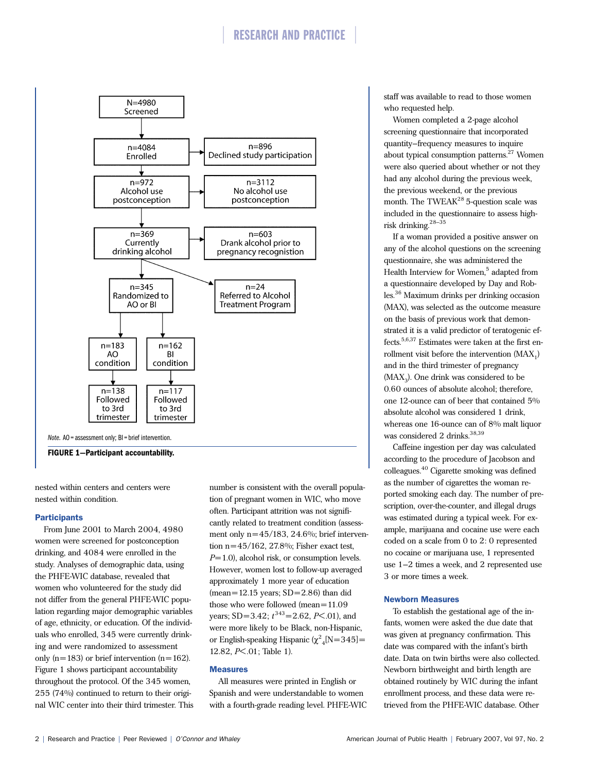## RESEARCH AND PRACTICE



nested within centers and centers were

## **Participants**

nested within condition.

From June 2001 to March 2004, 4980 women were screened for postconception drinking, and 4084 were enrolled in the study. Analyses of demographic data, using the PHFE-WIC database, revealed that women who volunteered for the study did not differ from the general PHFE-WIC population regarding major demographic variables of age, ethnicity, or education. Of the individuals who enrolled, 345 were currently drinking and were randomized to assessment only  $(n=183)$  or brief intervention  $(n=162)$ . Figure 1 shows participant accountability throughout the protocol. Of the 345 women, 255 (74%) continued to return to their original WIC center into their third trimester. This number is consistent with the overall population of pregnant women in WIC, who move often. Participant attrition was not significantly related to treatment condition (assessment only  $n=45/183$ , 24.6%; brief intervention n=45/162, 27.8%; Fisher exact test, *P*=1.0), alcohol risk, or consumption levels. However, women lost to follow-up averaged approximately 1 more year of education  $(mean=12.15 \text{ years}; SD=2.86)$  than did those who were followed (mean=11.09 years; SD=3.42; *t* 343=2.62, *P*<.01), and were more likely to be Black, non-Hispanic, or English-speaking Hispanic ( $\chi^2{}_4$ [N=345]= 12.82, *P*<.01; Table 1).

## Measures

All measures were printed in English or Spanish and were understandable to women with a fourth-grade reading level. PHFE-WIC staff was available to read to those women who requested help.

Women completed a 2-page alcohol screening questionnaire that incorporated quantity–frequency measures to inquire about typical consumption patterns.<sup>27</sup> Women were also queried about whether or not they had any alcohol during the previous week, the previous weekend, or the previous month. The TWEAK $^{28}$  5-question scale was included in the questionnaire to assess highrisk drinking.28–35

If a woman provided a positive answer on any of the alcohol questions on the screening questionnaire, she was administered the Health Interview for Women,<sup>5</sup> adapted from a questionnaire developed by Day and Robles.<sup>36</sup> Maximum drinks per drinking occasion (MAX), was selected as the outcome measure on the basis of previous work that demonstrated it is a valid predictor of teratogenic effects.5,6,37 Estimates were taken at the first enrollment visit before the intervention  $(MAX<sub>1</sub>)$ and in the third trimester of pregnancy  $(MAX<sub>2</sub>)$ . One drink was considered to be 0.60 ounces of absolute alcohol; therefore, one 12-ounce can of beer that contained 5% absolute alcohol was considered 1 drink, whereas one 16-ounce can of 8% malt liquor was considered 2 drinks.<sup>38,39</sup>

Caffeine ingestion per day was calculated according to the procedure of Jacobson and colleagues.40 Cigarette smoking was defined as the number of cigarettes the woman reported smoking each day. The number of prescription, over-the-counter, and illegal drugs was estimated during a typical week. For example, marijuana and cocaine use were each coded on a scale from 0 to 2: 0 represented no cocaine or marijuana use, 1 represented use 1–2 times a week, and 2 represented use 3 or more times a week.

## Newborn Measures

To establish the gestational age of the infants, women were asked the due date that was given at pregnancy confirmation. This date was compared with the infant's birth date. Data on twin births were also collected. Newborn birthweight and birth length are obtained routinely by WIC during the infant enrollment process, and these data were retrieved from the PHFE-WIC database. Other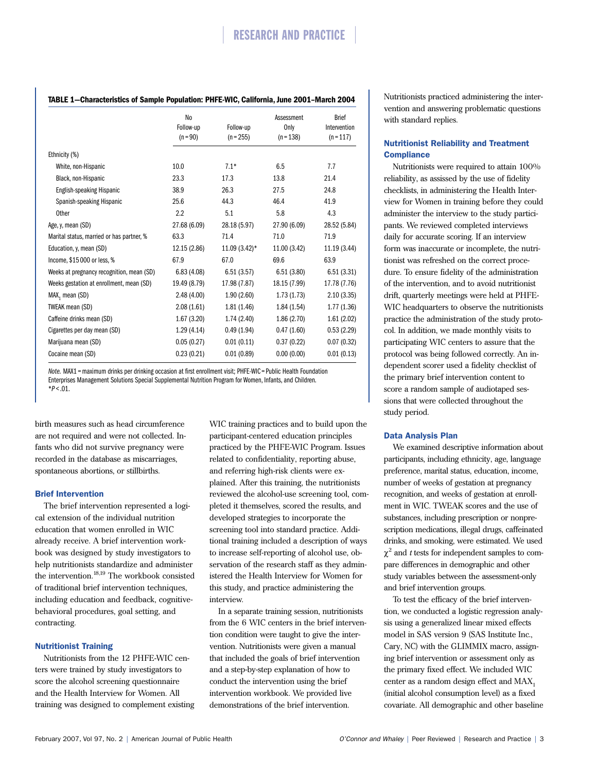#### **TABLE 1—Characteristics of Sample Population: PHFE-WIC, California, June 2001–March 2004**

|                                           | No<br>Follow-up<br>$(n = 90)$ | Follow-up<br>$(n = 255)$ | Assessment<br>Only<br>$(n = 138)$ | <b>Brief</b><br>Intervention<br>$(n = 117)$ |
|-------------------------------------------|-------------------------------|--------------------------|-----------------------------------|---------------------------------------------|
| Ethnicity (%)                             |                               |                          |                                   |                                             |
| White, non-Hispanic                       | 10.0                          | $7.1*$                   | 6.5                               | 7.7                                         |
| Black, non-Hispanic                       | 23.3                          | 17.3                     | 13.8                              | 21.4                                        |
| <b>English-speaking Hispanic</b>          | 38.9                          | 26.3                     | 27.5                              | 24.8                                        |
| Spanish-speaking Hispanic                 | 25.6                          | 44.3                     | 46.4                              | 41.9                                        |
| Other                                     | 2.2                           | 5.1                      | 5.8                               | 4.3                                         |
| Age, y, mean (SD)                         | 27.68 (6.09)                  | 28.18 (5.97)             | 27.90 (6.09)                      | 28.52 (5.84)                                |
| Marital status, married or has partner, % | 63.3                          | 71.4                     | 71.0                              | 71.9                                        |
| Education, y, mean (SD)                   | 12.15 (2.86)                  | $11.09(3.42)$ *          | 11.00 (3.42)                      | 11.19 (3.44)                                |
| Income, \$15 000 or less, %               | 67.9                          | 67.0                     | 69.6                              | 63.9                                        |
| Weeks at pregnancy recognition, mean (SD) | 6.83(4.08)                    | 6.51(3.57)               | 6.51(3.80)                        | 6.51(3.31)                                  |
| Weeks gestation at enrollment, mean (SD)  | 19.49 (8.79)                  | 17.98 (7.87)             | 18.15 (7.99)                      | 17.78 (7.76)                                |
| MAX <sub>1</sub> mean (SD)                | 2.48 (4.00)                   | 1.90(2.60)               | 1.73(1.73)                        | 2.10(3.35)                                  |
| TWEAK mean (SD)                           | 2.08(1.61)                    | 1.81(1.46)               | 1.84(1.54)                        | 1.77(1.36)                                  |
| Caffeine drinks mean (SD)                 | 1.67(3.20)                    | 1.74(2.40)               | 1.86(2.70)                        | 1.61(2.02)                                  |
| Cigarettes per day mean (SD)              | 1.29(4.14)                    | 0.49(1.94)               | 0.47(1.60)                        | 0.53(2.29)                                  |
| Marijuana mean (SD)                       | 0.05(0.27)                    | 0.01(0.11)               | 0.37(0.22)                        | 0.07(0.32)                                  |
| Cocaine mean (SD)                         | 0.23(0.21)                    | 0.01(0.89)               | 0.00(0.00)                        | 0.01(0.13)                                  |

*Note.* MAX1 = maximum drinks per drinking occasion at first enrollment visit; PHFE-WIC = Public Health Foundation Enterprises Management Solutions Special Supplemental Nutrition Program for Women, Infants, and Children.  $*P < .01$ .

birth measures such as head circumference are not required and were not collected. Infants who did not survive pregnancy were recorded in the database as miscarriages, spontaneous abortions, or stillbirths.

#### Brief Intervention

The brief intervention represented a logical extension of the individual nutrition education that women enrolled in WIC already receive. A brief intervention workbook was designed by study investigators to help nutritionists standardize and administer the intervention.18,19 The workbook consisted of traditional brief intervention techniques, including education and feedback, cognitivebehavioral procedures, goal setting, and contracting.

## Nutritionist Training

Nutritionists from the 12 PHFE-WIC centers were trained by study investigators to score the alcohol screening questionnaire and the Health Interview for Women. All training was designed to complement existing WIC training practices and to build upon the participant-centered education principles practiced by the PHFE-WIC Program. Issues related to confidentiality, reporting abuse, and referring high-risk clients were explained. After this training, the nutritionists reviewed the alcohol-use screening tool, completed it themselves, scored the results, and developed strategies to incorporate the screening tool into standard practice. Additional training included a description of ways to increase self-reporting of alcohol use, observation of the research staff as they administered the Health Interview for Women for this study, and practice administering the interview.

In a separate training session, nutritionists from the 6 WIC centers in the brief intervention condition were taught to give the intervention. Nutritionists were given a manual that included the goals of brief intervention and a step-by-step explanation of how to conduct the intervention using the brief intervention workbook. We provided live demonstrations of the brief intervention.

Nutritionists practiced administering the intervention and answering problematic questions with standard replies.

## Nutritionist Reliability and Treatment **Compliance**

Nutritionists were required to attain 100% reliability, as assissed by the use of fidelity checklists, in administering the Health Interview for Women in training before they could administer the interview to the study participants. We reviewed completed interviews daily for accurate scoring. If an interview form was inaccurate or incomplete, the nutritionist was refreshed on the correct procedure. To ensure fidelity of the administration of the intervention, and to avoid nutritionist drift, quarterly meetings were held at PHFE-WIC headquarters to observe the nutritionists practice the administration of the study protocol. In addition, we made monthly visits to participating WIC centers to assure that the protocol was being followed correctly. An independent scorer used a fidelity checklist of the primary brief intervention content to score a random sample of audiotaped sessions that were collected throughout the study period.

## Data Analysis Plan

We examined descriptive information about participants, including ethnicity, age, language preference, marital status, education, income, number of weeks of gestation at pregnancy recognition, and weeks of gestation at enrollment in WIC. TWEAK scores and the use of substances, including prescription or nonprescription medications, illegal drugs, caffeinated drinks, and smoking, were estimated. We used  $\chi^2$  and *t* tests for independent samples to compare differences in demographic and other study variables between the assessment-only and brief intervention groups.

To test the efficacy of the brief intervention, we conducted a logistic regression analysis using a generalized linear mixed effects model in SAS version 9 (SAS Institute Inc., Cary, NC) with the GLIMMIX macro, assigning brief intervention or assessment only as the primary fixed effect. We included WIC center as a random design effect and  $MAX_1$ (initial alcohol consumption level) as a fixed covariate. All demographic and other baseline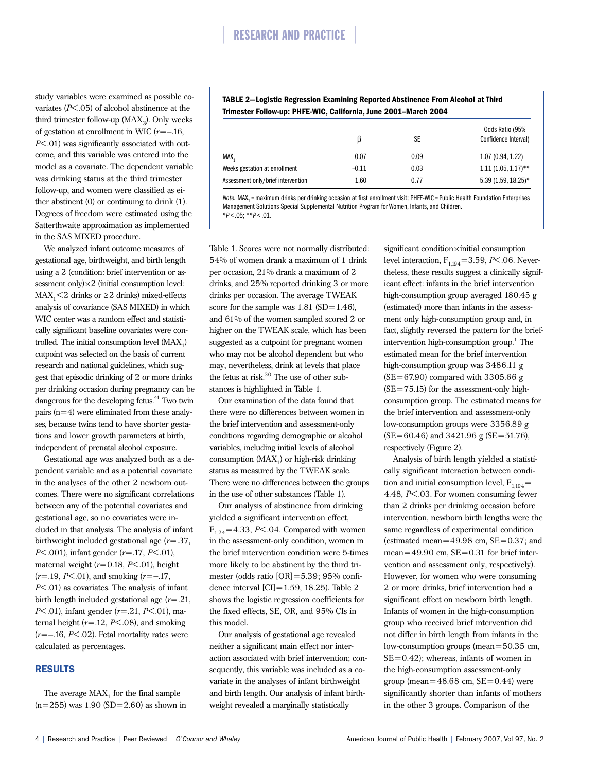study variables were examined as possible covariates (*P*<.05) of alcohol abstinence at the third trimester follow-up  $(MAX<sub>3</sub>)$ . Only weeks of gestation at enrollment in WIC (*r*=–.16, *P*<.01) was significantly associated with outcome, and this variable was entered into the model as a covariate. The dependent variable was drinking status at the third trimester follow-up, and women were classified as either abstinent (0) or continuing to drink (1). Degrees of freedom were estimated using the Satterthwaite approximation as implemented in the SAS MIXED procedure.

We analyzed infant outcome measures of gestational age, birthweight, and birth length using a 2 (condition: brief intervention or assessment only)×2 (initial consumption level: MAX<sub>1</sub> $<$ 2 drinks or  $\geq$ 2 drinks) mixed-effects analysis of covariance (SAS MIXED) in which WIC center was a random effect and statistically significant baseline covariates were controlled. The initial consumption level  $(MAX<sub>1</sub>)$ cutpoint was selected on the basis of current research and national guidelines, which suggest that episodic drinking of 2 or more drinks per drinking occasion during pregnancy can be dangerous for the developing fetus. $\mathrm{^{41}}$  Two twin pairs (n=4) were eliminated from these analyses, because twins tend to have shorter gestations and lower growth parameters at birth, independent of prenatal alcohol exposure.

Gestational age was analyzed both as a dependent variable and as a potential covariate in the analyses of the other 2 newborn outcomes. There were no significant correlations between any of the potential covariates and gestational age, so no covariates were included in that analysis. The analysis of infant birthweight included gestational age (*r*=.37, *P*<.001), infant gender (*r*=.17, *P*<.01), maternal weight (*r*=0.18, *P*<.01), height (*r*=.19, *P*<.01), and smoking (*r*=–.17, *P*<.01) as covariates. The analysis of infant birth length included gestational age (*r*=.21, *P*<.01), infant gender (*r*=.21, *P*<.01), maternal height (*r*=.12, *P*<.08), and smoking (*r*=–.16, *P*<.02). Fetal mortality rates were calculated as percentages.

## RESULTS

The average  $MAX_1$  for the final sample  $(n=255)$  was 1.90 (SD=2.60) as shown in

## **TABLE 2—Logistic Regression Examining Reported Abstinence From Alcohol at Third Trimester Follow-up: PHFE-WIC, California, June 2001–March 2004**

|                                    |         | SE   | Odds Ratio (95%<br>Confidence Interval) |
|------------------------------------|---------|------|-----------------------------------------|
| MAX,                               | 0.07    | 0.09 | 1.07 (0.94, 1.22)                       |
| Weeks gestation at enrollment      | $-0.11$ | 0.03 | $1.11(1.05, 1.17)$ **                   |
| Assessment only/brief intervention | 1.60    | 0.77 | 5.39 (1.59, 18.25)*                     |

*Note.* MAX<sub>1</sub> = maximum drinks per drinking occasion at first enrollment visit; PHFE-WIC = Public Health Foundation Enterprises Management Solutions Special Supplemental Nutrition Program for Women, Infants, and Children. \**P <* .05; \*\**P <* .01.

Table 1. Scores were not normally distributed: 54% of women drank a maximum of 1 drink per occasion, 21% drank a maximum of 2 drinks, and 25% reported drinking 3 or more drinks per occasion. The average TWEAK score for the sample was 1.81 (SD=1.46), and 61% of the women sampled scored 2 or higher on the TWEAK scale, which has been suggested as a cutpoint for pregnant women who may not be alcohol dependent but who may, nevertheless, drink at levels that place the fetus at risk.<sup>30</sup> The use of other substances is highlighted in Table 1.

Our examination of the data found that there were no differences between women in the brief intervention and assessment-only conditions regarding demographic or alcohol variables, including initial levels of alcohol consumption  $(MAX<sub>1</sub>)$  or high-risk drinking status as measured by the TWEAK scale. There were no differences between the groups in the use of other substances (Table 1).

Our analysis of abstinence from drinking yielded a significant intervention effect,  $F_{1,24}$ =4.33, *P*<.04. Compared with women in the assessment-only condition, women in the brief intervention condition were 5-times more likely to be abstinent by the third trimester (odds ratio [OR]=5.39; 95% confidence interval [CI]=1.59, 18.25). Table 2 shows the logistic regression coefficients for the fixed effects, SE, OR, and 95% CIs in this model.

Our analysis of gestational age revealed neither a significant main effect nor interaction associated with brief intervention; consequently, this variable was included as a covariate in the analyses of infant birthweight and birth length. Our analysis of infant birthweight revealed a marginally statistically

significant condition×initial consumption level interaction,  $F_{1,194}$  = 3.59, *P* <.06. Nevertheless, these results suggest a clinically significant effect: infants in the brief intervention high-consumption group averaged 180.45 g (estimated) more than infants in the assessment only high-consumption group and, in fact, slightly reversed the pattern for the briefintervention high-consumption group.<sup>1</sup> The estimated mean for the brief intervention high-consumption group was 3486.11 g  $(SE=67.90)$  compared with 3305.66 g  $(SE=75.15)$  for the assessment-only highconsumption group. The estimated means for the brief intervention and assessment-only low-consumption groups were 3356.89 g (SE=60.46) and 3421.96 g (SE=51.76), respectively (Figure 2).

Analysis of birth length yielded a statistically significant interaction between condition and initial consumption level,  $F_{1,194}$ = 4.48, *P*<.03. For women consuming fewer than 2 drinks per drinking occasion before intervention, newborn birth lengths were the same regardless of experimental condition (estimated mean= $49.98$  cm,  $SE = 0.37$ ; and  $mean=49.90$  cm,  $SE=0.31$  for brief intervention and assessment only, respectively). However, for women who were consuming 2 or more drinks, brief intervention had a significant effect on newborn birth length. Infants of women in the high-consumption group who received brief intervention did not differ in birth length from infants in the low-consumption groups (mean=50.35 cm,  $SE = 0.42$ ; whereas, infants of women in the high-consumption assessment-only group (mean= $48.68$  cm,  $SE=0.44$ ) were significantly shorter than infants of mothers in the other 3 groups. Comparison of the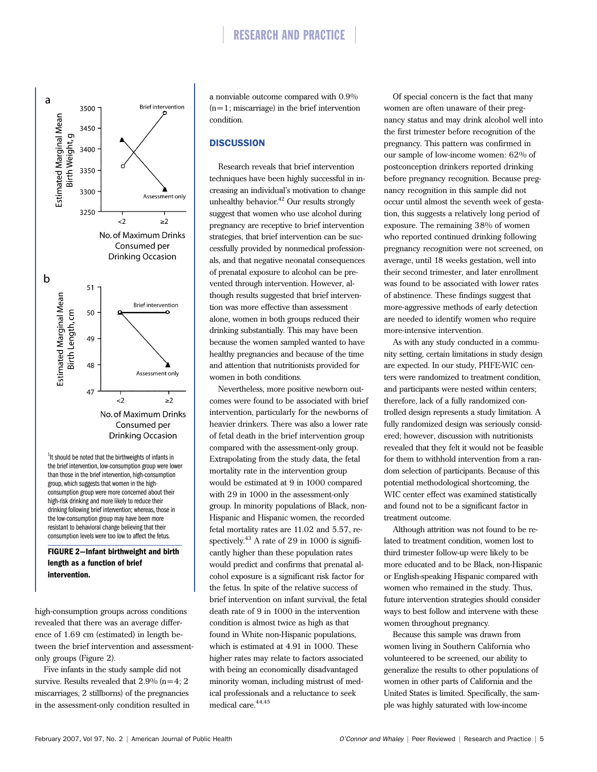

<sup>1</sup>lt should be noted that the birthweights of infants in the brief intervention, low-consumption group were lower than those in the brief intervention, high-consumption group, which suggests that women in the highconsumption group were more concerned about their high-risk drinking and more likely to reduce their drinking following brief intervention; whereas, those in the low-consumption group may have been more resistant to behavioral change believing that their consumption levels were too low to affect the fetus.

**FIGURE 2—Infant birthweight and birth length as a function of brief intervention.**

high-consumption groups across conditions revealed that there was an average difference of 1.69 cm (estimated) in length between the brief intervention and assessmentonly groups (Figure 2).

Five infants in the study sample did not survive. Results revealed that 2.9% (n=4; 2 miscarriages, 2 stillborns) of the pregnancies in the assessment-only condition resulted in a nonviable outcome compared with 0.9%  $(n=1;$  miscarriage) in the brief intervention condition.

## **DISCUSSION**

Research reveals that brief intervention techniques have been highly successful in increasing an individual's motivation to change unhealthy behavior. $42$  Our results strongly suggest that women who use alcohol during pregnancy are receptive to brief intervention strategies, that brief intervention can be successfully provided by nonmedical professionals, and that negative neonatal consequences of prenatal exposure to alcohol can be prevented through intervention. However, although results suggested that brief intervention was more effective than assessment alone, women in both groups reduced their drinking substantially. This may have been because the women sampled wanted to have healthy pregnancies and because of the time and attention that nutritionists provided for women in both conditions.

Nevertheless, more positive newborn outcomes were found to be associated with brief intervention, particularly for the newborns of heavier drinkers. There was also a lower rate of fetal death in the brief intervention group compared with the assessment-only group. Extrapolating from the study data, the fetal mortality rate in the intervention group would be estimated at 9 in 1000 compared with 29 in 1000 in the assessment-only group. In minority populations of Black, non-Hispanic and Hispanic women, the recorded fetal mortality rates are 11.02 and 5.57, respectively.<sup>43</sup> A rate of 29 in 1000 is significantly higher than these population rates would predict and confirms that prenatal alcohol exposure is a significant risk factor for the fetus. In spite of the relative success of brief intervention on infant survival, the fetal death rate of 9 in 1000 in the intervention condition is almost twice as high as that found in White non-Hispanic populations, which is estimated at 4.91 in 1000. These higher rates may relate to factors associated with being an economically disadvantaged minority woman, including mistrust of medical professionals and a reluctance to seek medical care.  $\real^{44,45}$ 

Of special concern is the fact that many women are often unaware of their pregnancy status and may drink alcohol well into the first trimester before recognition of the pregnancy. This pattern was confirmed in our sample of low-income women: 62% of postconception drinkers reported drinking before pregnancy recognition. Because pregnancy recognition in this sample did not occur until almost the seventh week of gestation, this suggests a relatively long period of exposure. The remaining 38% of women who reported continued drinking following pregnancy recognition were not screened, on average, until 18 weeks gestation, well into their second trimester, and later enrollment was found to be associated with lower rates of abstinence. These findings suggest that more-aggressive methods of early detection are needed to identify women who require more-intensive intervention.

As with any study conducted in a community setting, certain limitations in study design are expected. In our study, PHFE-WIC centers were randomized to treatment condition, and participants were nested within centers; therefore, lack of a fully randomized controlled design represents a study limitation. A fully randomized design was seriously considered; however, discussion with nutritionists revealed that they felt it would not be feasible for them to withhold intervention from a random selection of participants. Because of this potential methodological shortcoming, the WIC center effect was examined statistically and found not to be a significant factor in treatment outcome.

Although attrition was not found to be related to treatment condition, women lost to third trimester follow-up were likely to be more educated and to be Black, non-Hispanic or English-speaking Hispanic compared with women who remained in the study. Thus, future intervention strategies should consider ways to best follow and intervene with these women throughout pregnancy.

Because this sample was drawn from women living in Southern California who volunteered to be screened, our ability to generalize the results to other populations of women in other parts of California and the United States is limited. Specifically, the sample was highly saturated with low-income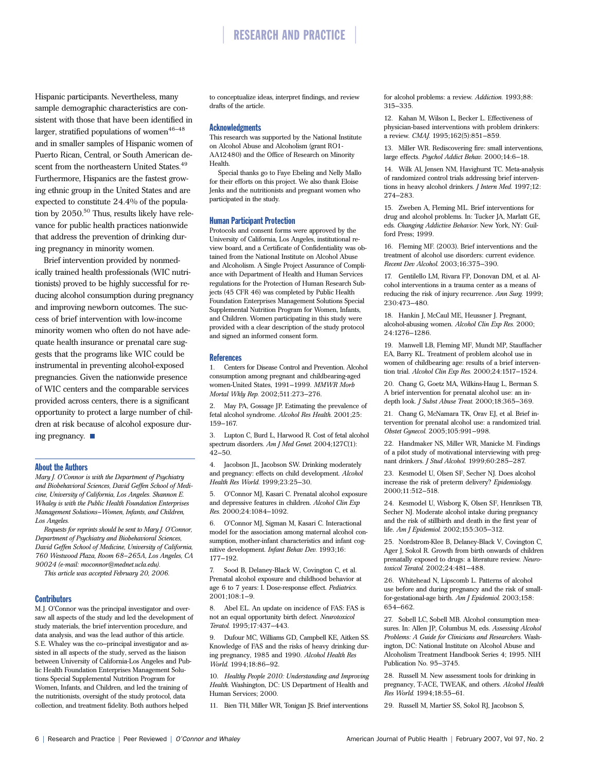Hispanic participants. Nevertheless, many sample demographic characteristics are consistent with those that have been identified in larger, stratified populations of women<sup>46-48</sup> and in smaller samples of Hispanic women of Puerto Rican, Central, or South American descent from the northeastern United States.<sup>49</sup> Furthermore, Hispanics are the fastest growing ethnic group in the United States and are expected to constitute 24.4% of the population by  $2050^{50}$  Thus, results likely have relevance for public health practices nationwide that address the prevention of drinking during pregnancy in minority women.

Brief intervention provided by nonmedically trained health professionals (WIC nutritionists) proved to be highly successful for reducing alcohol consumption during pregnancy and improving newborn outcomes. The success of brief intervention with low-income minority women who often do not have adequate health insurance or prenatal care suggests that the programs like WIC could be instrumental in preventing alcohol-exposed pregnancies. Given the nationwide presence of WIC centers and the comparable services provided across centers, there is a significant opportunity to protect a large number of children at risk because of alcohol exposure during pregnancy.

#### About the Authors

*Mary J. O'Connor is with the Department of Psychiatry and Biobehavioral Sciences, David Geffen School of Medicine, University of California, Los Angeles. Shannon E. Whaley is with the Public Health Foundation Enterprises Management Solutions–Women, Infants, and Children, Los Angeles.*

*Requests for reprints should be sent to Mary J. O'Connor, Department of Psychiatry and Biobehavioral Sciences, David Geffen School of Medicine, University of California, 760 Westwood Plaza, Room 68–265A, Los Angeles, CA 90024 (e-mail: moconnor@mednet.ucla.edu).*

*This article was accepted February 20, 2006.*

#### **Contributors**

M.J. O'Connor was the principal investigator and oversaw all aspects of the study and led the development of study materials, the brief intervention procedure, and data analysis, and was the lead author of this article. S.E. Whaley was the co–principal investigator and assisted in all aspects of the study, served as the liaison between University of California-Los Angeles and Public Health Foundation Enterprises Management Solutions Special Supplemental Nutrition Program for Women, Infants, and Children, and led the training of the nutritionists, oversight of the study protocol, data collection, and treatment fidelity. Both authors helped

to conceptualize ideas, interpret findings, and review drafts of the article.

#### **Acknowledgments**

This research was supported by the National Institute on Alcohol Abuse and Alcoholism (grant RO1- AA12480) and the Office of Research on Minority Health.

Special thanks go to Faye Ebeling and Nelly Mallo for their efforts on this project. We also thank Eloise Jenks and the nutritionists and pregnant women who participated in the study.

#### Human Participant Protection

Protocols and consent forms were approved by the University of California, Los Angeles, institutional review board, and a Certificate of Confidentiality was obtained from the National Institute on Alcohol Abuse and Alcoholism. A Single Project Assurance of Compliance with Department of Health and Human Services regulations for the Protection of Human Research Subjects (45 CFR 46) was completed by Public Health Foundation Enterprises Management Solutions Special Supplemental Nutrition Program for Women, Infants, and Children. Women participating in this study were provided with a clear description of the study protocol and signed an informed consent form.

#### **References**

1. Centers for Disease Control and Prevention. Alcohol consumption among pregnant and childbearing-aged women-United States, 1991–1999. *MMWR Morb Mortal Wkly Rep.* 2002;511:273–276.

2. May PA, Gossage JP. Estimating the prevalence of fetal alcohol syndrome. *Alcohol Res Health.* 2001;25: 159–167.

3. Lupton C, Burd L, Harwood R. Cost of fetal alcohol spectrum disorders. *Am J Med Genet.* 2004;127C(1): 42–50.

4. Jacobson JL, Jacobson SW. Drinking moderately and pregnancy: effects on child development. *Alcohol Health Res World.* 1999;23:25–30.

5. O'Connor MJ, Kasari C. Prenatal alcohol exposure and depressive features in children. *Alcohol Clin Exp Res.* 2000;24:1084–1092.

6. O'Connor MJ, Sigman M, Kasari C. Interactional model for the association among maternal alcohol consumption, mother-infant characteristics and infant cognitive development. *Infant Behav Dev.* 1993;16: 177–192.

7. Sood B, Delaney-Black W, Covington C, et al. Prenatal alcohol exposure and childhood behavior at age 6 to 7 years: I. Dose-response effect. *Pediatrics.* 2001;108:1–9.

8. Abel EL. An update on incidence of FAS: FAS is not an equal opportunity birth defect. *Neurotoxicol Teratol.* 1995;17:437–443.

9. Dufour MC, Williams GD, Campbell KE, Aitken SS. Knowledge of FAS and the risks of heavy drinking during pregnancy, 1985 and 1990. *Alcohol Health Res World.* 1994;18:86–92.

10. *Healthy People 2010: Understanding and Improving Health*. Washington, DC: US Department of Health and Human Services; 2000.

11. Bien TH, Miller WR, Tonigan JS. Brief interventions

for alcohol problems: a review. *Addiction.* 1993;88: 315–335.

12. Kahan M, Wilson L, Becker L. Effectiveness of physician-based interventions with problem drinkers: a review. *CMAJ.* 1995;162(5):851–859.

13. Miller WR. Rediscovering fire: small interventions, large effects. *Psychol Addict Behav.* 2000;14:6–18.

14. Wilk AI, Jensen NM, Havighurst TC. Meta-analysis of randomized control trials addressing brief interventions in heavy alcohol drinkers. *J Intern Med.* 1997;12: 274–283.

15. Zweben A, Fleming ML. Brief interventions for drug and alcohol problems. In: Tucker JA, Marlatt GE, eds. *Changing Addictive Behavior.* New York, NY: Guilford Press; 1999.

16. Fleming MF. (2003). Brief interventions and the treatment of alcohol use disorders: current evidence. *Recent Dev Alcohol.* 2003;16:375–390.

17. Gentilello LM, Rivara FP, Donovan DM, et al. Alcohol interventions in a trauma center as a means of reducing the risk of injury recurrence. *Ann Surg.* 1999; 230:473–480.

18. Hankin J, McCaul ME, Heussner J. Pregnant, alcohol-abusing women. *Alcohol Clin Exp Res.* 2000; 24:1276–1286.

19. Manwell LB, Fleming MF, Mundt MP, Stauffacher EA, Barry KL. Treatment of problem alcohol use in women of childbearing age: results of a brief intervention trial. *Alcohol Clin Exp Res.* 2000;24:1517–1524.

20. Chang G, Goetz MA, Wilkins-Haug L, Berman S. A brief intervention for prenatal alcohol use: an indepth look. *J Subst Abuse Treat.* 2000;18:365–369.

21. Chang G, McNamara TK, Orav EJ, et al. Brief intervention for prenatal alcohol use: a randomized trial. *Obstet Gynecol.* 2005;105:991–998.

22. Handmaker NS, Miller WR, Manicke M. Findings of a pilot study of motivational interviewing with pregnant drinkers. *J Stud Alcohol.* 1999;60:285–287.

23. Kesmodel U, Olsen SF, Secher NJ. Does alcohol increase the risk of preterm delivery? *Epidemiology.* 2000;11:512–518.

24. Kesmodel U, Wisborg K, Olsen SF, Henriksen TB, Secher NJ. Moderate alcohol intake during pregnancy and the risk of stillbirth and death in the first year of life. *Am J Epidemiol.* 2002;155:305–312.

25. Nordstrom-Klee B, Delaney-Black V, Covington C, Ager J, Sokol R. Growth from birth onwards of children prenatally exposed to drugs: a literature review. *Neurotoxicol Teratol.* 2002;24:481–488.

26. Whitehead N, Lipscomb L. Patterns of alcohol use before and during pregnancy and the risk of smallfor-gestational-age birth. *Am J Epidemiol.* 2003;158: 654–662.

27. Sobell LC, Sobell MB. Alcohol consumption measures. In: Allen JP, Columbus M, eds. *Assessing Alcohol Problems: A Guide for Clinicians and Researchers*. Washington, DC: National Institute on Alcohol Abuse and Alcoholism Treatment Handbook Series 4; 1995. NIH Publication No. 95–3745.

28. Russell M. New assessment tools for drinking in pregnancy, T-ACE, TWEAK, and others. *Alcohol Health Res World.* 1994;18:55–61.

29. Russell M, Martier SS, Sokol RJ, Jacobson S,